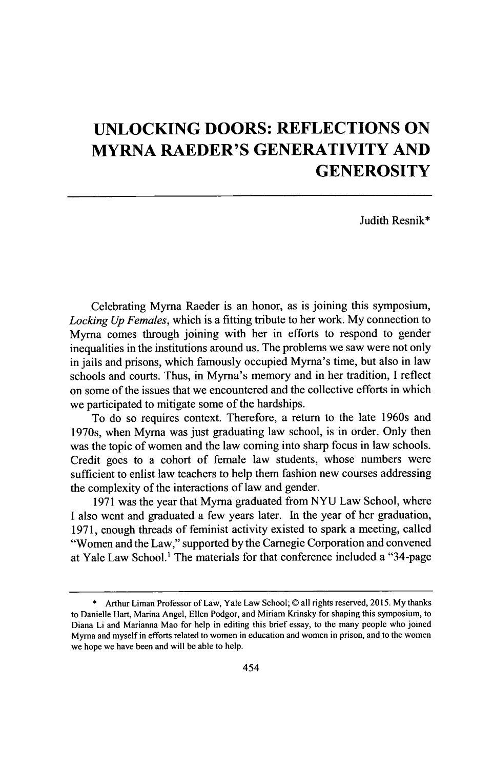## **UNLOCKING DOORS: REFLECTIONS ON MYRNA RAEDER'S GENERATIVITY AND GENEROSITY**

Judith Resnik\*

Celebrating Myrna Raeder is an honor, as is joining this symposium, *Locking Up Females,* which is a fitting tribute to her work. **My** connection to Myrna comes through joining with her in efforts to respond to gender inequalities in the institutions around us. The problems we saw were not only in jails and prisons, which famously occupied Myrna's time, but also in law schools and courts. Thus, in Myrna's memory and in her tradition, **I** reflect on some of the issues that we encountered and the collective efforts in which we participated to mitigate some of the hardships.

To do so requires context. Therefore, a return to the late 1960s and 1970s, when Myrna was just graduating law school, is in order. Only then was the topic of women and the law coming into sharp focus in law schools. Credit goes to a cohort of female law students, whose numbers were sufficient to enlist law teachers to help them fashion new courses addressing the complexity of the interactions of law and gender.

**1971** was the year that Myrna graduated from *NYU* Law School, where **I** also went and graduated a few years later. In the year of her graduation, **1971,** enough threads of feminist activity existed to spark a meeting, called "Women and the Law," supported **by** the Carnegie Corporation and convened at Yale Law School.' The materials for that conference included a "34-page

**<sup>\*</sup>** Arthur Liman Professor of Law, Yale Law School; © all rights reserved, **2015. My** thanks to Danielle Hart, Marina Angel, Ellen Podgor, and Miriam Krinsky for shaping this symposium, to Diana Li and Marianna Mao for help in editing this brief essay, to the many people who joined Myrna and myself in efforts related to women in education and women in prison, and to the women we hope we have been and will be able to help.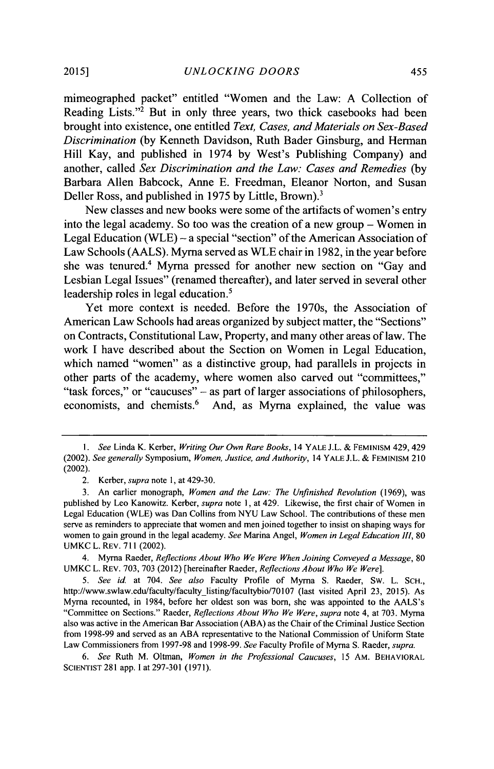mimeographed packet" entitled "Women and the Law: **A** Collection of Reading Lists."<sup>2</sup> But in only three years, two thick casebooks had been brought into existence, one entitled *Text, Cases, and Materials on Sex-Based Discrimination* **(by** Kenneth Davidson, Ruth Bader Ginsburg, and Herman Hill Kay, and published in 1974 **by** West's Publishing Company) and another, called *Sex Discrimination and the Law: Cases and Remedies (by* Barbara Allen Babcock, Anne **E.** Freedman, Eleanor Norton, and Susan Deller Ross, and published in **1975 by** Little, Brown).'

New classes and new books were some of the artifacts of women's entry into the legal academy. So too was the creation of a new group **-** Women in Legal Education (WLE) **-** a special "section" of the American Association of Law Schools **(AALS).** Myrna served as WLE chair in **1982,** in the year before she was tenured.<sup>4</sup> Myrna pressed for another new section on "Gay and Lesbian Legal Issues" (renamed thereafter), and later served in several other leadership roles in legal education.<sup>5</sup>

Yet more context is needed. Before the 1970s, the Association of American Law Schools had areas organized **by** subject matter, the "Sections" on Contracts, Constitutional Law, Property, and many other areas of law. The work **I** have described about the Section on Women in Legal Education, which named "women" as a distinctive group, had parallels in projects in other parts of the academy, where women also carved out "committees," "task forces," or "caucuses" **-** as part of larger associations of philosophers, economists, and chemists.<sup>6</sup> And, as Myrna explained, the value was

4. Myrna Raeder, *Reflections About Who We Were When Joining Conveyed a Message, 80* **UMKC** L. **REV. 703, 703** (2012) [hereinafter Raeder, *Reflections About Who We Were].*

*5. See id* at 704. *See also* Faculty Profile of Myrna **S.** Raeder, **Sw.** L. **SCH.,** http://www.swlaw.edu/faculty/facultylisting/facultybio/70107 (last visited April **23, 2015).** As Myrna recounted, in 1984, before her oldest son was born, she was appointed to the AALS's "Committee on Sections." Raeder, *Reflections About Who We Were, supra* note 4, at **703.** Myrna also was active in the American Bar Association **(ABA)** as the Chair of the Criminal Justice Section from **1998-99** and served as an **ABA** representative to the National Commission of Uniform State Law Commissioners from **1997-98** and **1998-99.** *See* Faculty Profile of Myrna **S.** Raeder, *supra.*

*6. See* Ruth M. Oltman, *Women in the Professional Caucuses, 15* AM. **BEHAVIORAL SCIENTIST 281** app. **I** at **297-301 (1971).**

*<sup>1.</sup> See* Linda K. Kerber, *Writing Our Own Rare Books,* **14 YALE J.L. & FEMINISM** 429,429 *(2002). See generally Symposium, Women, Justice, and Authority,* **14 YALE J.L.** *&* **FEMINISM** 210 (2002).

<sup>2.</sup> Kerber, *supra* note **1,** at 429-30.

**<sup>3.</sup>** An earlier monograph, *Women and the Law: The Unfinished Revolution* **(1969),** was published **by** Leo Kanowitz. Kerber, *supra note* **1,** at 429. Likewise, the first chair of Women in Legal Education (WLE) was Dan Collins from **NYU** Law School. The contributions of these men serve as reminders to appreciate that women and men joined together to insist on shaping ways for women to gain ground in the legal academy. *See* **Marina Angel,** *Women in Legal Education III,* **80 UMKC** L. REV. **711** (2002).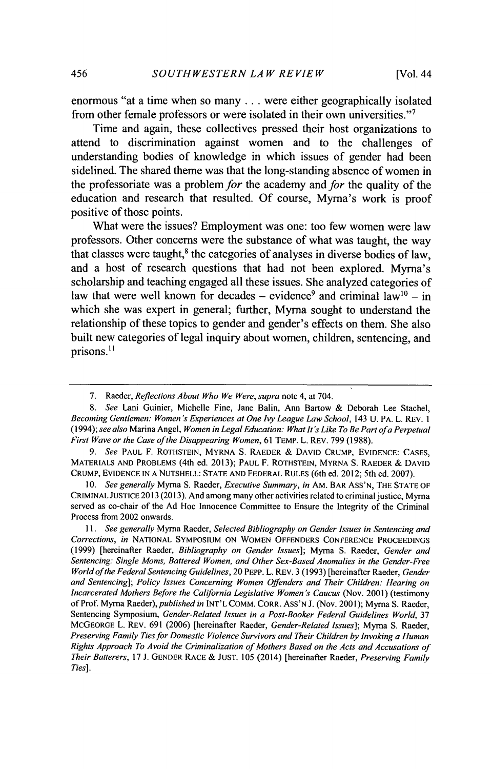enormous "at a time when so many **...** were either geographically isolated from other female professors or were isolated in their own universities."'

Time and again, these collectives pressed their host organizations to attend to discrimination against women and to the challenges of understanding bodies of knowledge in which issues of gender had been sidelined. The shared theme was that the long-standing absence of women in the professoriate was a problem *for* the academy and *for* the quality of the education and research that resulted. **Of** course, Myrna's work is proof positive of those points.

What were the issues? Employment was one: too few women were law professors. Other concerns were the substance of what was taught, the way that classes were taught, $<sup>8</sup>$  the categories of analyses in diverse bodies of law,</sup> and a host of research questions that had not been explored. Myrna's scholarship and teaching engaged all these issues. **She** analyzed categories of law that were well known for decades  $-$  evidence<sup>9</sup> and criminal law<sup>10</sup> – in which she was expert in general; further, Myrna sought to understand the relationship of these topics to gender and gender's effects on them. She also built new categories of legal inquiry about women, children, sentencing, and prisons.<sup>11</sup>

*9. See* **PAUL** F. ROTHSTEIN, MYRNA **S.** RAEDER **& DAVID** CRUMP, EVIDENCE: **CASES,** MATERIALS **AND** PROBLEMS (4th ed. **2013); PAUL** F. **ROTHSTEIN,** MYRNA **S.** RAEDER **& DAVID** CRUMP, EVIDENCE **IN A NUTSHELL: STATE AND** FEDERAL **RULES** (6th ed. 2012; 5th ed. **2007).**

*10. See generally* Myrna **S.** Raeder, *Executive Summary, in* AM. BAR ASS'N, THE **STATE** OF CRIMINAL **JUSTICE 2013 (2013).** And among many other activities related to criminal justice, Myrna served as co-chair of the **Ad** Hoc Innocence Committee to Ensure the Integrity of the Criminal Process from 2002 onwards.

*11. See generally* Myrna Raeder, *Selected Bibliography on Gender Issues in Sentencing and Corrections, in* **NATIONAL SYMPOSIUM ON** WOMEN **OFFENDERS CONFERENCE PROCEEDINGS (1999)** [hereinafter Raeder, *Bibliography on Gender Issues];* Myrna **S.** Raeder, *Gender and Sentencing: Single Moms, Battered Women, and Other Sex-Based Anomalies in the Gender-Free World ofthe Federal Sentencing Guidelines,* 20 PEPP. L. REv. **3 (1993)** [hereinafter Raeder, *Gender and Sentencing]; Policy Issues Concerning Women Offenders and Their Children: Hearing on Incarcerated Mothers Before the Cahfornia Legislative Women's Caucus* (Nov. 2001) (testimony of Prof. Myrna *Raeder), published in* **INT'L** COMM. CORR. ASS'N **J.** (Nov. **2001);** Myrna **S.** Raeder, Sentencing Symposium, *Gender-Related Issues in a Post-Booker Federal Guidelines World, 37* MCGEORGE L. REv. **691 (2006)** [hereinafter Raeder, *Gender-Related Issues];* Myrna **S.** Raeder, *Preserving Family Ties for Domestic Violence Survivors and Their Children by Invoking a Human Rights Approach To Avoid the Criminalization of Mothers Based on the Acts and Accusations of Their Batterers,* **17 J. GENDER RACE & JUST. 105** (2014) [hereinafter Raeder, *Preserving Family Ties].*

**<sup>7.</sup>** Raeder, *Reflections About Who We Were, supra* note 4, at 704.

*<sup>8.</sup> See* Lani Guinier, Michelle Fine, Jane Balin, Ann Bartow **&** Deborah Lee Stachel, *Becoming Gentlemen: Women's Experiences at One Ivy League Law School,* 143 *U.* PA. L. REV. **<sup>I</sup>** *(1994); see also* Marina Angel, *Women in Legal Education: What It's Like To Be Part ofa Perpetual First Wave or the Case ofthe Disappearing Women,* **61** TEMP. L. REv. **799 (1988).**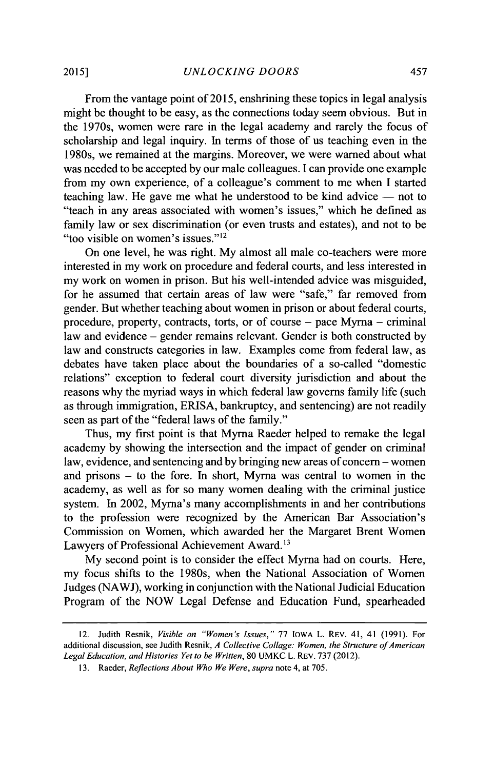From the vantage point of **2015,** enshrining these topics in legal analysis might be thought to be easy, as the connections today seem obvious. But in the 1970s, women were rare in the legal academy and rarely the focus of scholarship and legal inquiry. In terms of those of us teaching even in the 1980s, we remained at the margins. Moreover, we were warned about what was needed to be accepted **by** our male colleagues. **I** can provide one example from my own experience, of a colleague's comment to me when **I** started teaching law. He gave me what he understood to be kind advice **-** not to "teach in any areas associated with women's issues," which he defined as family law or sex discrimination (or even trusts and estates), and not to be "too visible on women's issues."<sup>12</sup>

On one level, he was right. **My** almost all male co-teachers were more interested in my work on procedure and federal courts, and less interested in my work on women in prison. But his well-intended advice was misguided, for he assumed that certain areas of law were "safe," far removed from gender. But whether teaching about women in prison or about federal courts, procedure, property, contracts, torts, or of course **-** pace Myrna **-** criminal law and evidence **-** gender remains relevant. Gender is both constructed **by** law and constructs categories in law. Examples come from federal law, as debates have taken place about the boundaries of a so-called "domestic relations" exception to federal court diversity jurisdiction and about the reasons why the myriad ways in which federal law governs family life (such as through immigration, ERISA, bankruptcy, and sentencing) are not readily seen as part of the "federal laws of the family."

Thus, my first point is that Myrna Raeder helped to remake the legal academy **by** showing the intersection and the impact of gender on criminal law, evidence, and sentencing and **by** bringing new areas of concern **-** women and prisons **-** to the fore. In short, Myrna was central to women in the academy, as well as for so many women dealing with the criminal justice system. In 2002, Myrna's many accomplishments in and her contributions to the profession were recognized **by** the American Bar Association's Commission on Women, which awarded her the Margaret Brent Women Lawyers of Professional Achievement Award.<sup>13</sup>

**My** second point is to consider the effect Myrna had on courts. Here, my focus shifts to the 1980s, when the National Association of Women Judges **(NAWJ),** working in conjunction with the National Judicial Education Program of the NOW Legal Defense and Education Fund, spearheaded

<sup>12.</sup> Judith Resnik, *Visible on "Women's Issues,"* **77** IOWA L. REV. 41, 41 **(1991).** For additional discussion, see Judith Resnik, *A Collective Collage: Women, the Structure of American Legal Education, and Histories Yet to be Written,* **80 UMKC** L. REV. **737** (2012).

**<sup>13.</sup>** Raeder, *Reflections About Who We Were, supra* note 4, at **705.**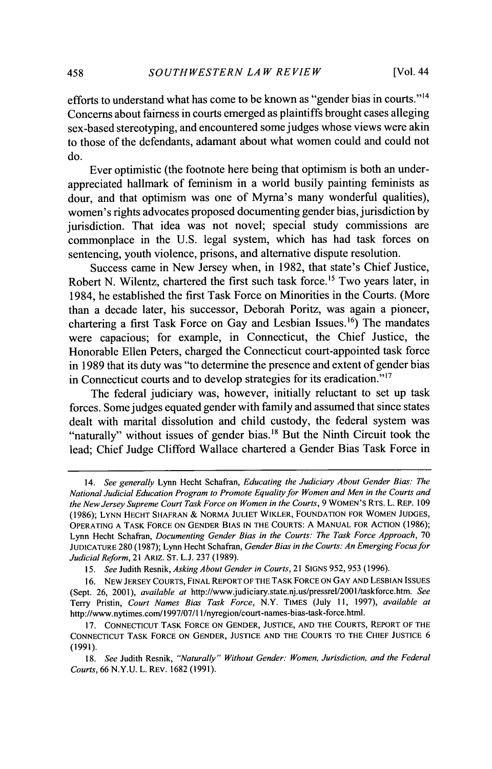efforts to understand what has come to be known as "gender bias in courts."l<sup>4</sup> Concerns about fairness in courts emerged as plaintiffs brought cases alleging sex-based stereotyping, and encountered some judges whose views were akin to those of the defendants, adamant about what women could and could not do.

Ever optimistic (the footnote here being that optimism is both an underappreciated hallmark of feminism in a world busily painting feminists as dour, and that optimism was one of Myrna's many wonderful qualities), women's rights advocates proposed documenting gender bias, jurisdiction **by** jurisdiction. That idea was not novel; special study commissions are commonplace in the **U.S.** legal system, which has had task forces on sentencing, youth violence, prisons, and alternative dispute resolution.

Success came in New Jersey when, in **1982,** that state's Chief Justice, Robert N. Wilentz, chartered the first such task force.<sup>15</sup> Two years later, in 1984, he established the first Task Force on Minorities in the Courts. (More than a decade later, his successor, Deborah Poritz, was again a pioneer, chartering a first Task Force on Gay and Lesbian Issues.<sup>16</sup>) The mandates were capacious; for example, in Connecticut, the Chief Justice, the Honorable Ellen Peters, charged the Connecticut court-appointed task force in **1989** that its duty was "to determine the presence and extent of gender bias in Connecticut courts and to develop strategies for its eradication."<sup>17</sup>

The federal judiciary was, however, initially reluctant to set up task forces. Some judges equated gender with family and assumed that since states dealt with marital dissolution and child custody, the federal system was "naturally" without issues of gender bias.<sup>18</sup> But the Ninth Circuit took the lead; Chief Judge Clifford Wallace chartered a Gender Bias Task Force in

*<sup>14.</sup>* See generally Lynn Hecht Schafran, *Educating the Judiciary About Gender Bias: The* National Judicial Education Program to *Promote Equality for Women and Men in the Courts and the New Jersey Supreme Court Task Force on Women in the Courts, 9* WOMEN'S RTs. L. REP. **109 (1986); LYNN HECHT SHAFRAN &** NORMA **JULIET** WIKLER, **FOUNDATION** FOR WOMEN **JUDGES,** OPERATING **A** TASK FORCE **ON GENDER BIAS [N** THE **COURTS: A MANUAL** FOR ACTION **(1986);** Lynn Hecht Schafran, *Documenting Gender Bias in the Courts: The Task Force Approach, 70* **JUDICATURE 280 (1987);** Lynn Hecht Schafran, *Gender Bias in the Courts: An Emerging Focus for Judicial Reform,* 21 ARIZ. **ST. L.J. 237 (1989).**

*<sup>15.</sup> See* Judith Resnik, *Asking About Gender in Courts,* 21 **SIGNS 952,** *953* **(1996).**

**<sup>16.</sup> NEW JERSEY COURTS, FINAL** REPORT OF THE TASK FORCE **ON** GAY **AND LESBIAN ISSUES** (Sept. **26,** 2001), *available at* http://www.judiciary.state.nj.us/pressrel/200l/taskforce.htm. *See* Terry Pristin, *Court Names Bias Task Force,* N.Y. **TIMES (July 11,** *1997), available at* http://www.nytimes.com/1997/07/1 l/nyregion/court-names-bias-task-force.html.

**<sup>17.</sup> CONNECTICUT** TASK FORCE **ON GENDER, JUSTICE, AND** THE **COURTS,** REPORT OF THE **CONNECTICUT** TASK FORCE **ON GENDER, JUSTICE AND** THE **COURTS** TO THE **CHIEF JUSTICE 6 (1991).**

*<sup>18.</sup> See* Judith Resnik, *"Naturally" Without Gender: Women, Jurisdiction, and the Federal Courts,* **66 N.Y.U.** L. REV. **1682 (1991).**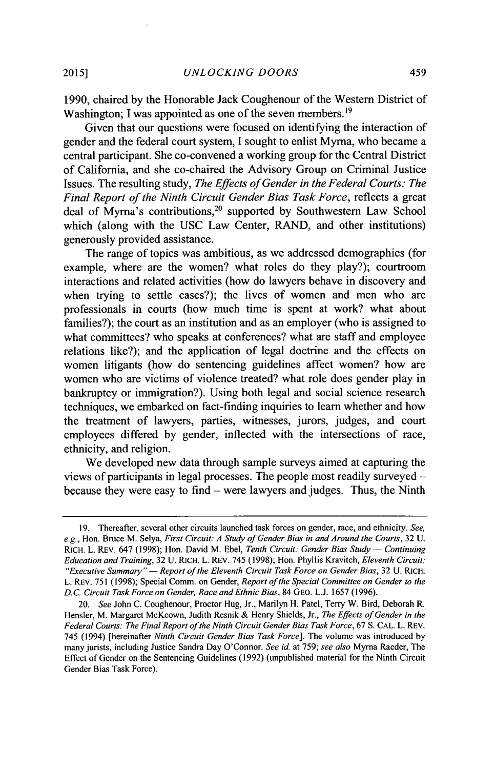**1990,** chaired **by** the Honorable Jack Coughenour of the Western District of Washington: I was appointed as one of the seven members.<sup>19</sup>

Given that our questions were focused on identifying the interaction of gender and the federal court system, **I** sought to enlist Myrna, who became a central participant. She co-convened a working group for the Central District of California, and she co-chaired the Advisory Group on Criminal Justice Issues. The resulting study, *The Effects of Gender in the Federal Courts: The Final Report of the Ninth Circuit Gender Bias Task Force,* reflects a great deal of Myrna's contributions,<sup>20</sup> supported by Southwestern Law School which (along with the **USC** Law Center, RAND, and other institutions) generously provided assistance.

The range of topics was ambitious, as we addressed demographics (for example, where are the women? what roles do they play?); courtroom interactions and related activities (how do lawyers behave in discovery and when trying to settle cases?); the lives of women and men who are professionals in courts (how much time is spent at work? what about families?); the court as an institution and as an employer (who is assigned to what committees? who speaks at conferences? what are staff and employee relations like?); and the application of legal doctrine and the effects on women litigants (how do sentencing guidelines affect women? how are women who are victims of violence treated? what role does gender play in bankruptcy or immigration?). Using both legal and social science research techniques, we embarked on fact-finding inquiries to learn whether and how the treatment of lawyers, parties, witnesses, jurors, judges, and court employees differed **by** gender, inflected with the intersections of race, ethnicity, and religion.

We developed new data through sample surveys aimed at capturing the views of participants in legal processes. The people most readily surveyed because they were easy to find **-** were lawyers and judges. Thus, the Ninth

**<sup>19.</sup>** Thereafter, several other circuits launched task forces on gender, race, and ethnicity. *See, e.g.,* Hon. Bruce M. Selya, *First Circuit: A Study of Gender Bias in and Around the Courts,* **32 U.** RICH. L. REV. 647 **(1998);** Hon. David M. Ebel, *Tenth Circuit: Gender Bias Study* **-** *Continuing Education and Training,* **32 U. RICH.** L. REV. 745 **(1998);** Hon. Phyllis Kravitch, *Eleventh Circuit: "Executive Summary"* **-** *Report of the Eleventh Circuit Task Force on Gender Bias,* **32 U.** RICH. L. REV. **751 (1998);** Special Comm. on Gender, *Report of the Special Committee on Gender to the D.C. Circuit Task Force on Gender, Race and Ethnic Bias,* 84 **GEO. L.J. 1657 (1996).**

*<sup>20.</sup> See* John **C.** Coughenour, Proctor Hug, Jr., Marilyn H. Patel, Terry W. Bird, Deborah R. Hensler, M. Margaret McKeown, Judith Resnik **&** Henry Shields, Jr., *The Effects of Gender in the Federal Courts: The Final Report of the Ninth Circuit Gender Bias Task Force,* **67 S. CAL.** L. REV. 745 (1994) [hereinafter *Ninth Circuit Gender Bias Task Force].* The volume was introduced **by** many jurists, including Justice Sandra Day O'Connor. *See id.* at **759;** *see also* Myrna Raeder, The Effect of Gender on the Sentencing Guidelines **(1992)** (unpublished material for the Ninth Circuit Gender Bias Task Force).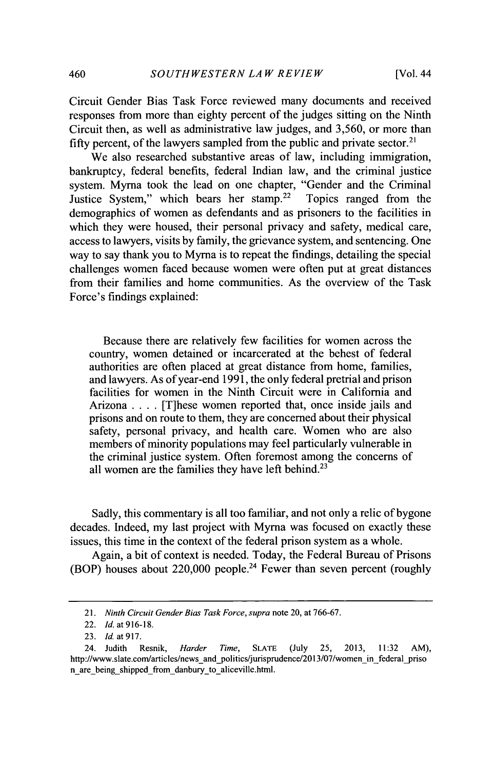Circuit Gender Bias Task Force reviewed many documents and received responses from more than eighty percent of the judges sitting on the Ninth Circuit then, as well as administrative law judges, and *3,560,* or more than fifty percent, of the lawyers sampled from the public and private sector.<sup>21</sup>

We also researched substantive areas of law, including immigration, bankruptcy, federal benefits, federal Indian law, and the criminal justice system. Myrna took the lead on one chapter, "Gender and the Criminal Justice System," which bears her stamp.<sup>22</sup> Topics ranged from the demographics of women as defendants and as prisoners to the facilities in which they were housed, their personal privacy and safety, medical care, access to lawyers, visits **by** family, the grievance system, and sentencing. One way to say thank you to Myrna is to repeat the findings, detailing the special challenges women faced because women were often put at great distances from their families and home communities. As the overview of the Task Force's findings explained:

Because there are relatively few facilities for women across the country, women detained or incarcerated at the behest of federal authorities are often placed at great distance from home, families, and lawyers. As of year-end **1991,** the only federal pretrial and prison facilities for women in the Ninth Circuit were in California and Arizona **.** . . **.** [T]hese women reported that, once inside jails and prisons and on route to them, they are concerned about their physical safety, personal privacy, and health care. Women who are also members of minority populations may feel particularly vulnerable in the criminal justice system. Often foremost among the concerns of all women are the families they have left behind.<sup>23</sup>

Sadly, this commentary is all too familiar, and not only a relic of bygone decades. Indeed, my last project with Myrna was focused on exactly these issues, this time in the context of the federal prison system as a whole.

Again, a bit of context is needed. Today, the Federal Bureau of Prisons (BOP) houses about  $220,000$  people.<sup>24</sup> Fewer than seven percent (roughly

<sup>21.</sup> Ninth Circuit Gender Bias Task Force, supra note 20, at **766-67.**

<sup>22.</sup> **Id.** at **916-18.**

**<sup>23.</sup> Id** at *917.*

<sup>24.</sup> Judith Resnik, *Harder Time,* **SLATE** (July **25, 2013, 11:32** AM), http://www.slate.com/articles/news\_and\_politics/jurisprudence/2013/07/women\_in\_federal\_pri n are being shipped from danbury to aliceville.html.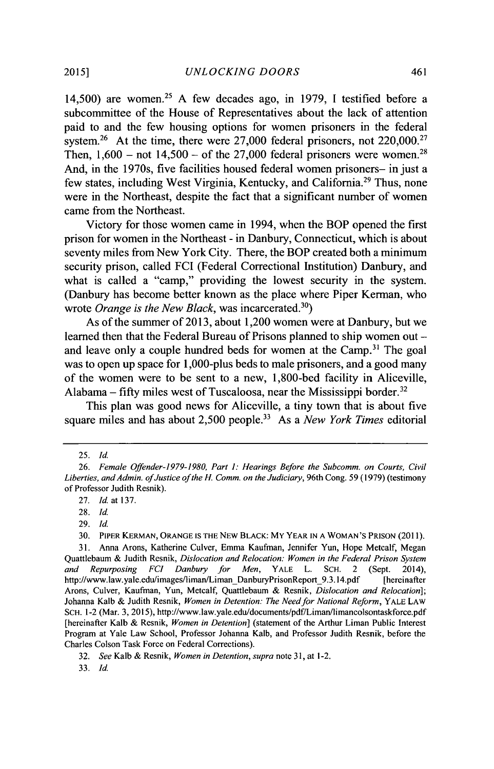14,500) are women. <sup>2</sup><sup>5</sup>**A** few decades ago, in **1979,** I testified before a subcommittee of the House of Representatives about the lack of attention paid to and the few housing options for women prisoners in the federal system.<sup>26</sup> At the time, there were  $27,000$  federal prisoners, not  $220,000$ .<sup>27</sup> Then,  $1,600$  – not  $14,500$  – of the 27,000 federal prisoners were women.<sup>28</sup> And, in the 1970s, five facilities housed federal women prisoners- in just a few states, including West Virginia, Kentucky, and California.<sup>29</sup> Thus, none were in the Northeast, despite the fact that a significant number of women came from the Northeast.

Victory for those women came in 1994, when the BOP opened the first prison for women in the Northeast **-** in Danbury, Connecticut, which is about seventy miles from New York City. There, the BOP created both a minimum security prison, called **FCI** (Federal Correctional Institution) Danbury, and what is called a "camp," providing the lowest security in the system. (Danbury has become better known as the place where Piper Kerman, who wrote *Orange is the New Black*, was incarcerated.<sup>30</sup>)

As of the summer of **2013,** about 1,200 women were at Danbury, but we learned then that the Federal Bureau of Prisons planned to ship women out and leave only a couple hundred beds for women at the Camp.<sup>31</sup> The goal was to open up space for 1,000-plus beds to male prisoners, and a good many of the women were to be sent to a new, 1,800-bed facility in Aliceville, Alabama **- fifty** miles west of Tuscaloosa, near the Mississippi border. <sup>32</sup>

This plan was good news for Aliceville, a tiny town that is about five square miles and has about 2,500 people.<sup>33</sup> As a *New York Times* editorial

**<sup>25.</sup>** *Id.*

*<sup>26.</sup> Female Offender-I 979-1980, Part 1: Hearings Before the Subcomm. on Courts, Civil* Liberties, and Admin. of Justice of the H. Comm. on the Judiciary, 96th Cong. 59 (1979) (testimony of Professor Judith Resnik).

**<sup>27.</sup>** *Id.* at **137.**

**<sup>28.</sup>** *Id.*

**<sup>29.</sup>** *Id*

**<sup>30.</sup>** PIPER **KERMAN, ORANGE IS** THE NEW BLACK: MY YEAR **IN A WOMAN'S** PRISON **(2011).**

**<sup>31.</sup>** Anna Arons, Katherine Culver, Emma Kaufman, Jennifer Yun, Hope Metcalf, Megan Quattlebaum **&** Judith Resnik, *Dislocation and Relocation: Women in the Federal Prison System and Repurposing FCI Danbury for Men,* YALE L. **SCH.** 2 (Sept. 2014), http://www.law.yale.edu/images/liman/Liman DanburyPrisonReport 9.3.14.pdf Arons, Culver, Kaufman, Yun, Metcalf, Quattlebaum **&** *Resnik, Dislocation and Relocation];* Johanna Kalb **&** Judith Resnik, *Women in Detention: The Need for National Reform,* YALE LAW **SCH.** 1-2 (Mar. **3, 2015),** http://www.law.yale.edu/documents/pdf/Liman/limancolsontaskforce.pdf [hereinafter Kalb **&** Resnik, *Women in Detention]* (statement of the Arthur Liman Public Interest Program at Yale Law School, Professor Johanna Kalb, and Professor Judith Resnik, before the Charles Colson Task Force on Federal Corrections).

*<sup>32.</sup> See* Kalb **&** Resnik, *Women in Detention, supra* note **31,** at 1-2.

**<sup>33.</sup>** *Id.*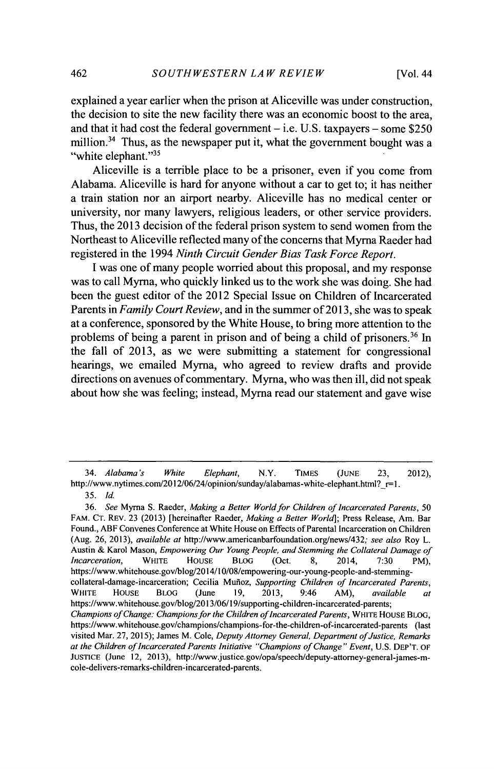explained a year earlier when the prison at Aliceville was under construction, the decision to site the new facility there was an economic boost to the area, and that it had cost the federal government **-** i.e. **U.S.** taxpayers **-** some **\$250** million.<sup>34</sup> Thus, as the newspaper put it, what the government bought was a "white elephant."<sup>35</sup>

Aliceville is a terrible place to be a prisoner, even if you come from Alabama. Aliceville is hard for anyone without a car to get to; it has neither a train station nor an airport nearby. Aliceville has no medical center or university, nor many lawyers, religious leaders, or other service providers. Thus, the **2013** decision of the federal prison system to send women from the Northeast to Aliceville reflected many of the concerns that Myrna Raeder had registered in the 1994 *Ninth Circuit Gender Bias Task Force Report.*

**I** was one of many people worried about this proposal, and my response was to call Myrna, who quickly linked us to the work she was doing. She had been the guest editor of the 2012 Special Issue on Children of Incarcerated Parents in *Family Court Review,* and in the summer of **2013,** she was to speak at a conference, sponsored **by** the White House, to bring more attention to the problems of being a parent in prison and of being a child of prisoners.<sup>36</sup> In the fall of **2013,** as we were submitting a statement for congressional hearings, we emailed Myrna, who agreed to review drafts and provide directions on avenues of commentary. Myrna, who was then ill, did not speak about how she was feeling; instead, Myrna read our statement and gave wise

*<sup>34.</sup> Alabama's White Elephant,* N.Y. **TIMES (JUNE 23,** 2012), http://www.nytimes.com/2012/06/24/opinion/sunday/alabamas-white-elephant.html?\_r=

*<sup>35.</sup> Id.*

*<sup>36.</sup> See* Myrna **S.** Raeder, *Making a Better World for Children of Incarcerated Parents, 50* FAM. **CT.** REv. **23 (2013)** [hereinafter Raeder, *Making a Better World];* Press Release, Am. Bar Found., ABF Convenes Conference at White House on Effects of Parental Incarceration on Children (Aug. **26, 2013),** *available at* http://www.americanbarfoundation.org/news/432; *see also* Roy L. Austin **&** Karol Mason, *Empowering Our Young People, and Stemming the Collateral Damage of Incarceration,* WHITE **HOUSE** BLoG (Oct. **8,** 2014, **7:30 PM),** https://www.whitehouse.gov/blog/2014/10/08/empowering-our-young-people-and-stemmingcollateral-damage-incarceration; Cecilia Munioz, *Supporting Children of Incarcerated Parents,* WHITE HOUSE **BLOG** (June **19, 2013,** 9:46 AM), *available at* https://www.whitehouse.gov/blog/2013/06/19/supporting-children-incarcerated-parents; *Champions of Change: Champions for the Children of Incarcerated Parents,* WHITE HOUSE BLOG, https://www.whitehouse.gov/champions/champions-for-the-children-of-incarcerated-parents (last visited Mar. **27, 2015);** James M. Cole, *Deputy Attorney General, Department ofJustice, Remarks at the Children of Incarcerated Parents Initiative "Champions of Change" Event,* **U.S. DEP'T. OF JUSTICE** (June 12, **2013),** http://www.justice.gov/opa/speech/deputy-attorney-general-james-mcole-delivers-remarks-children-incarcerated-parents.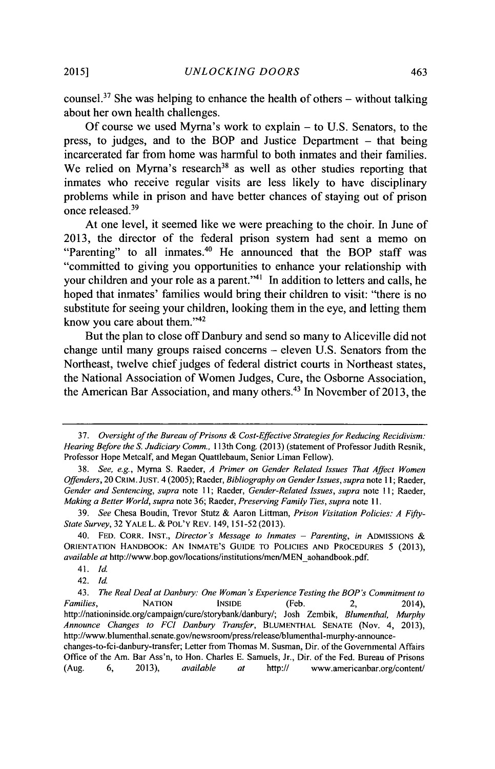counsel.<sup>37</sup> She was helping to enhance the health of others – without talking about her own health challenges.

**Of** course we used Myrna's work to explain **-** to **U.S.** Senators, to the press, to judges, and to the BOP and Justice Department **-** that being incarcerated far from home was harmful to both inmates and their families. We relied on Myrna's research<sup>38</sup> as well as other studies reporting that inmates who receive regular visits are less likely to have disciplinary problems while in prison and have better chances of staying out of prison once released.<sup>39</sup>

At one level, it seemed like we were preaching to the choir. In June of **2013,** the director of the federal prison system had sent a memo on "Parenting" to all inmates.<sup>40</sup> He announced that the BOP staff was "committed to giving you opportunities to enhance your relationship with your children and your role as a parent."<sup>41</sup> In addition to letters and calls, he hoped that inmates' families would bring their children to visit: "there is no substitute for seeing your children, looking them in the eye, and letting them know you care about them."<sup>42</sup>

But the plan to close off Danbury and send so many to Aliceville did not change until many groups raised concerns **-** eleven **U.S.** Senators from the Northeast, twelve chief judges of federal district courts in Northeast states, the National Association of Women Judges, Cure, the Osborne Association, the American Bar Association, and many others.<sup>43</sup> In November of 2013, the

*<sup>37.</sup> Oversight of the Bureau of Prisons & Cost-Effective Strategies for Reducing Recidivism: Hearing Before the S. Judiciary Comm.,* 113th Cong. **(2013)** (statement of Professor Judith Resnik, Professor Hope Metcalf, and Megan Quattlebaum, Senior Liman Fellow).

*<sup>38.</sup> See, e.g.,* Myrna **S.** Raeder, *A Primer on Gender Related Issues That Affect Women Offenders,* 20 **CRIM. JUST.** 4 **(2005);** Raeder, *Bibliography on Gender Issues, supra note* **11;** Raeder, *Gender and Sentencing, supra note* **11;** *Raeder, Gender-Related Issues, supra* note **11;** Raeder, *Making a Better World, supra* note **36;** Raeder, *Preserving Family Ties, supra note* **11.**

**<sup>39.</sup>** *See* Chesa Boudin, Trevor Stutz **&** Aaron **Littman,** *Prison Visitation Policies: A Fifty-State Survey,* **32 YALE L.** *&* **POL'Y REV.** 149, 151-52 **(2013).**

<sup>40.</sup> **FED. CORR. INST.,** *Director's Message to Inmates* **-** *Parenting, in* **ADMISSIONS ORIENTATION HANDBOOK: AN INMATE'S GUIDE TO POLICIES AND PROCEDURES** *5* **(2013),** *available at* http://www.bop.gov/locations/institutions/men/MEN-aohandbook.pdf.

*<sup>41.</sup> Id*

<sup>42.</sup> *Id*

*<sup>43.</sup> The Real Deal at Danbury: One Woman's Experience Testing the BOP's Commitment to Families,* **NATION INSIDE** (Feb. 2, 2014), http://nationinside.org/campaign/cure/storybank/danbury/; Josh Zembik, *Blumenthal, Murphy Announce Changes to FCI Danbury Transfer,* **BLUMENTHAL SENATE** (Nov. 4, **2013),** http://www.blumenthal.senate.gov/newsroom/press/release/blumenthal-murphy-announcechanges-to-fci-danbury-transfer; Letter from Thomas M. Susman, Dir. of the Governmental Affairs Office of the Am. Bar Ass'n, to Hon. Charles E. Samuels, Jr., Dir. of the Fed. Bureau of Prisons (Aug. 6, 2013), *available* at http:// www.americanbar.org/content/ (Aug. **6, 2013),** *available at* http:// **www.americanbar.org/content/**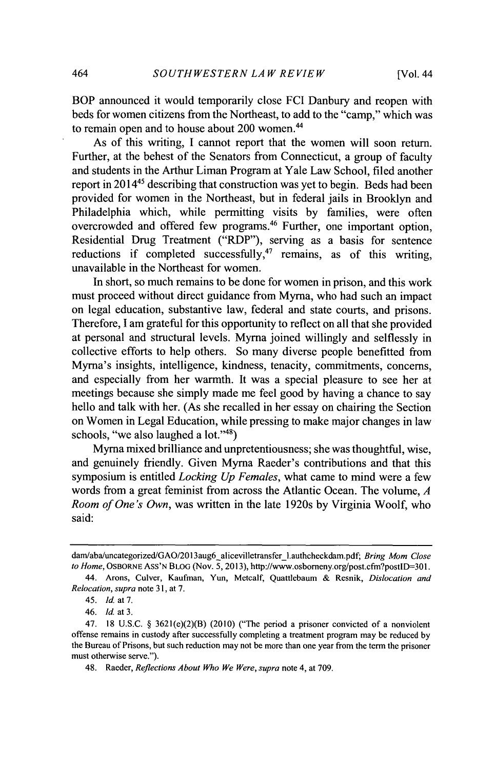BOP announced it would temporarily close **FCI** Danbury and reopen with beds for women citizens from the Northeast, to add to the "camp," which was to remain open and to house about 200 women.<sup>44</sup>

As of this writing, **I** cannot report that the women will soon return. Further, at the behest of the Senators from Connecticut, a group of faculty and students in the Arthur Liman Program at Yale Law School, filed another report in 2014<sup>45</sup> describing that construction was yet to begin. Beds had been provided for women in the Northeast, but in federal jails in Brooklyn and Philadelphia which, while permitting visits **by** families, were often overcrowded and offered few programs.<sup>46</sup> Further, one important option, Residential Drug Treatment ("RDP"), serving as a basis for sentence reductions if completed successfully,<sup>47</sup> remains, as of this writing, unavailable in the Northeast for women.

In short, so much remains to be done for women in prison, and this work must proceed without direct guidance from Myma, who had such an impact on legal education, substantive law, federal and state courts, and prisons. Therefore, **I** am grateful for this opportunity to reflect on all that she provided at personal and structural levels. Myma joined willingly and selflessly in collective efforts to help others. So many diverse people benefitted from Myrna's insights, intelligence, kindness, tenacity, commitments, concerns, and especially from her warmth. It was a special pleasure to see her at meetings because she simply made me feel good **by** having a chance to say hello and talk with her. (As she recalled in her essay on chairing the Section on Women in Legal Education, while pressing to make major changes in law schools, "we also laughed a lot."<sup>48</sup>)

Myrna mixed brilliance and unpretentiousness; she was thoughtful, wise, and genuinely friendly. Given Myma Raeder's contributions and that this symposium is entitled *Locking Up Females,* what came to mind were a few words from a great feminist from across the Atlantic Ocean. The volume, *A Room of One's Own,* was written in the late 1920s **by** Virginia Woolf, who said:

dam/aba/uncategorized/GAO/2013aug6 alicevilletransfer\_1.authcheckdam.pdf; *Bring Mom Close to Home,* OSBORNE ASS'N BLOG (Nov. **5,2013),** http://www.osbomeny.org/post.cfm?postlD=301.

*<sup>44.</sup>* Arons, Culver, Kaufman, Yun, Metcalf, Quattlebaum **&** *Resnik, Dislocation and Relocation, supra* note **3 1,** at **7.**

*<sup>45.</sup> Id. at 7.*

*<sup>46.</sup> Id. at 3.*

<sup>47.</sup> **18 U.S.C. §** 3621(e)(2)(B) (2010) ("The period a prisoner convicted of a nonviolent offense remains in custody after successfully completing a treatment program may be reduced **by** the Bureau of Prisons, but such reduction may not be more than one year from the term the prisoner must otherwise serve.").

<sup>48.</sup> Raeder, *Reflections About Who We Were, supra* note 4, at **709.**